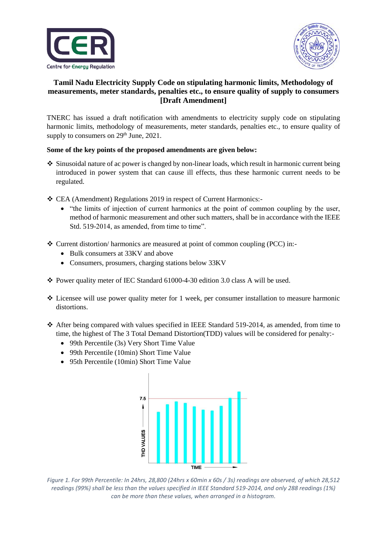



## **Tamil Nadu Electricity Supply Code on stipulating harmonic limits, Methodology of measurements, meter standards, penalties etc., to ensure quality of supply to consumers [Draft Amendment]**

TNERC has issued a draft notification with amendments to electricity supply code on stipulating harmonic limits, methodology of measurements, meter standards, penalties etc., to ensure quality of supply to consumers on  $29<sup>th</sup>$  June,  $2021$ .

## **Some of the key points of the proposed amendments are given below:**

- $\div$  Sinusoidal nature of ac power is changed by non-linear loads, which result in harmonic current being introduced in power system that can cause ill effects, thus these harmonic current needs to be regulated.
- CEA (Amendment) Regulations 2019 in respect of Current Harmonics:-
	- "the limits of injection of current harmonics at the point of common coupling by the user, method of harmonic measurement and other such matters, shall be in accordance with the IEEE Std. 519-2014, as amended, from time to time".
- $\div$  Current distortion/ harmonics are measured at point of common coupling (PCC) in:-
	- Bulk consumers at 33KV and above
	- Consumers, prosumers, charging stations below 33KV
- Power quality meter of IEC Standard 61000-4-30 edition 3.0 class A will be used.
- $\div$  Licensee will use power quality meter for 1 week, per consumer installation to measure harmonic distortions.
- After being compared with values specified in IEEE Standard 519-2014, as amended, from time to time, the highest of The 3 Total Demand Distortion(TDD) values will be considered for penalty:-
	- 99th Percentile (3s) Very Short Time Value
	- 99th Percentile (10min) Short Time Value
	- 95th Percentile (10min) Short Time Value



*Figure 1. For 99th Percentile: In 24hrs, 28,800 (24hrs x 60min x 60s / 3s) readings are observed, of which 28,512 readings (99%) shall be less than the values specified in IEEE Standard 519-2014, and only 288 readings (1%) can be more than these values, when arranged in a histogram.*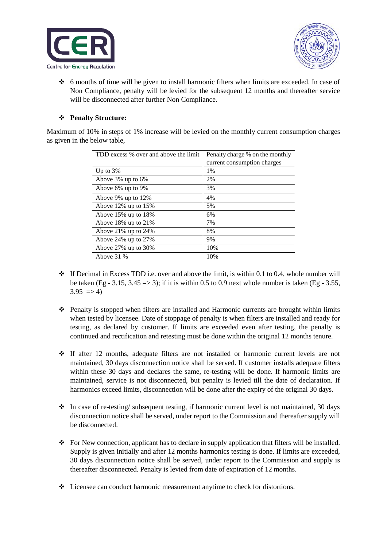



 $\div$  6 months of time will be given to install harmonic filters when limits are exceeded. In case of Non Compliance, penalty will be levied for the subsequent 12 months and thereafter service will be disconnected after further Non Compliance.

## **Penalty Structure:**

Maximum of 10% in steps of 1% increase will be levied on the monthly current consumption charges as given in the below table,

| TDD excess % over and above the limit | Penalty charge % on the monthly |
|---------------------------------------|---------------------------------|
|                                       | current consumption charges     |
| Up to $3%$                            | 1%                              |
| Above 3% up to 6%                     | 2%                              |
| Above 6% up to 9%                     | 3%                              |
| Above 9% up to $12\%$                 | 4%                              |
| Above $12\%$ up to $15\%$             | 5%                              |
| Above $15\%$ up to $18\%$             | 6%                              |
| Above 18% up to $21\%$                | 7%                              |
| Above 21% up to $24%$                 | 8%                              |
| Above 24% up to $27\%$                | 9%                              |
| Above $27\%$ up to $30\%$             | 10%                             |
| Above $31%$                           | 10%                             |

- $\cdot \cdot$  If Decimal in Excess TDD i.e. over and above the limit, is within 0.1 to 0.4, whole number will be taken (Eg - 3.15, 3.45  $\Rightarrow$  3); if it is within 0.5 to 0.9 next whole number is taken (Eg - 3.55,  $3.95 \implies 4$
- **Penalty is stopped when filters are installed and Harmonic currents are brought within limits** when tested by licensee. Date of stoppage of penalty is when filters are installed and ready for testing, as declared by customer. If limits are exceeded even after testing, the penalty is continued and rectification and retesting must be done within the original 12 months tenure.
- If after 12 months, adequate filters are not installed or harmonic current levels are not maintained, 30 days disconnection notice shall be served. If customer installs adequate filters within these 30 days and declares the same, re-testing will be done. If harmonic limits are maintained, service is not disconnected, but penalty is levied till the date of declaration. If harmonics exceed limits, disconnection will be done after the expiry of the original 30 days.
- $\cdot$  In case of re-testing/ subsequent testing, if harmonic current level is not maintained, 30 days disconnection notice shall be served, under report to the Commission and thereafter supply will be disconnected.
- For New connection, applicant has to declare in supply application that filters will be installed. Supply is given initially and after 12 months harmonics testing is done. If limits are exceeded, 30 days disconnection notice shall be served, under report to the Commission and supply is thereafter disconnected. Penalty is levied from date of expiration of 12 months.
- Licensee can conduct harmonic measurement anytime to check for distortions.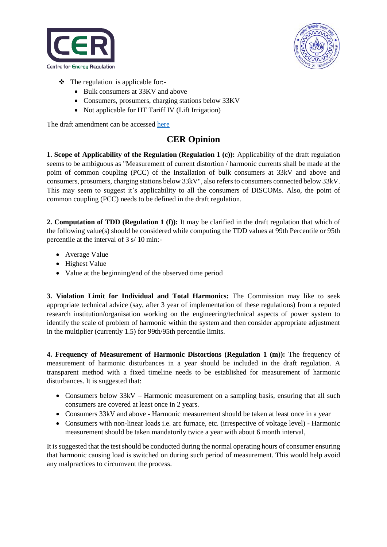



- $\triangleleft$  The regulation is applicable for:-
	- Bulk consumers at 33KV and above
	- Consumers, prosumers, charging stations below 33KV
	- Not applicable for HT Tariff IV (Lift Irrigation)

The draft amendment can be accessed [here](https://cer.iitk.ac.in/odf_assets/upload_files/TNERC_harmonics_2021.pdf)

## **CER Opinion**

**1. Scope of Applicability of the Regulation (Regulation 1 (c)):** Applicability of the draft regulation seems to be ambiguous as "Measurement of current distortion / harmonic currents shall be made at the point of common coupling (PCC) of the Installation of bulk consumers at 33kV and above and consumers, prosumers, charging stations below 33kV", also refers to consumers connected below 33kV. This may seem to suggest it's applicability to all the consumers of DISCOMs. Also, the point of common coupling (PCC) needs to be defined in the draft regulation.

**2. Computation of TDD (Regulation 1 (f)):** It may be clarified in the draft regulation that which of the following value(s) should be considered while computing the TDD values at 99th Percentile or 95th percentile at the interval of 3 s/ 10 min:-

- Average Value
- Highest Value
- Value at the beginning/end of the observed time period

**3. Violation Limit for Individual and Total Harmonics:** The Commission may like to seek appropriate technical advice (say, after 3 year of implementation of these regulations) from a reputed research institution/organisation working on the engineering/technical aspects of power system to identify the scale of problem of harmonic within the system and then consider appropriate adjustment in the multiplier (currently 1.5) for 99th/95th percentile limits.

**4. Frequency of Measurement of Harmonic Distortions (Regulation 1 (m)):** The frequency of measurement of harmonic disturbances in a year should be included in the draft regulation. A transparent method with a fixed timeline needs to be established for measurement of harmonic disturbances. It is suggested that:

- Consumers below 33kV Harmonic measurement on a sampling basis, ensuring that all such consumers are covered at least once in 2 years.
- Consumers 33kV and above Harmonic measurement should be taken at least once in a year
- Consumers with non-linear loads i.e. arc furnace, etc. (irrespective of voltage level) Harmonic measurement should be taken mandatorily twice a year with about 6 month interval,

It is suggested that the test should be conducted during the normal operating hours of consumer ensuring that harmonic causing load is switched on during such period of measurement. This would help avoid any malpractices to circumvent the process.